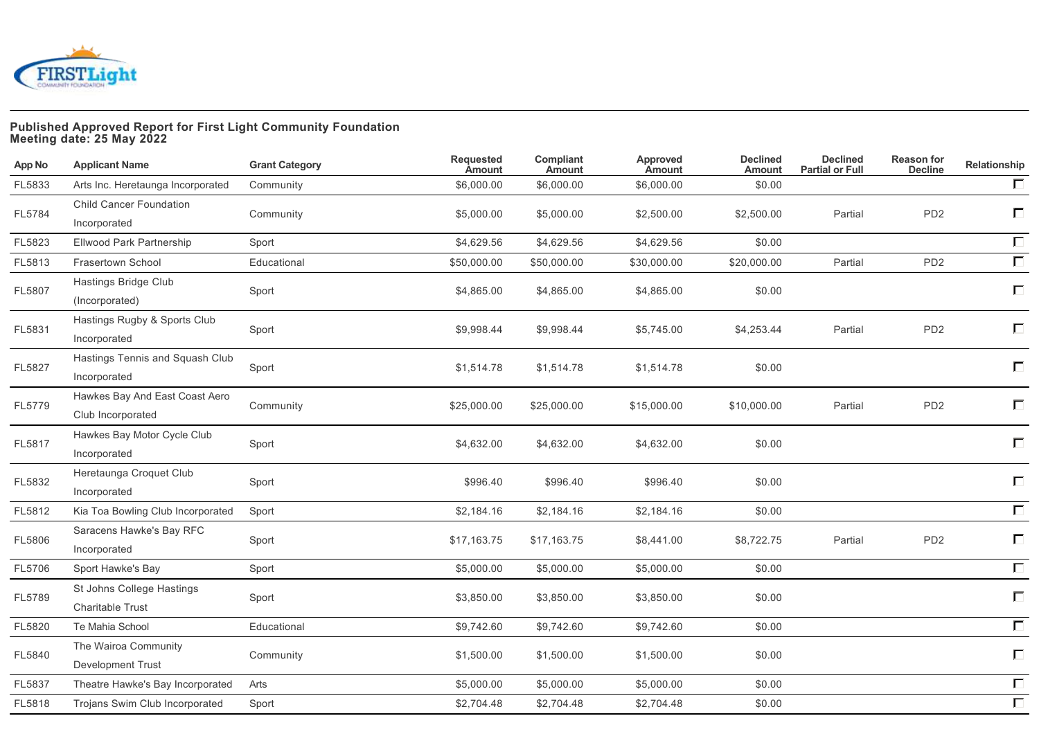

## **Published Approved Report for First Light Community Foundation Meeting date: 25 May 2022**

| App No | <b>Applicant Name</b>                                | <b>Grant Category</b> | <b>Requested</b><br><b>Amount</b> | Compliant<br><b>Amount</b> | Approved<br>Amount | <b>Declined</b><br><b>Amount</b> | <b>Declined</b><br><b>Partial or Full</b> | <b>Reason for</b><br><b>Decline</b> | Relationship |
|--------|------------------------------------------------------|-----------------------|-----------------------------------|----------------------------|--------------------|----------------------------------|-------------------------------------------|-------------------------------------|--------------|
| FL5833 | Arts Inc. Heretaunga Incorporated                    | Community             | \$6,000.00                        | \$6,000.00                 | \$6,000.00         | \$0.00                           |                                           |                                     | $\Box$       |
| FL5784 | <b>Child Cancer Foundation</b><br>Incorporated       | Community             | \$5,000.00                        | \$5,000.00                 | \$2,500.00         | \$2,500.00                       | Partial                                   | PD <sub>2</sub>                     | П            |
| FL5823 | Ellwood Park Partnership                             | Sport                 | \$4,629.56                        | \$4,629.56                 | \$4,629.56         | \$0.00                           |                                           |                                     | $\Box$       |
| FL5813 | <b>Frasertown School</b>                             | Educational           | \$50,000.00                       | \$50,000.00                | \$30,000.00        | \$20,000.00                      | Partial                                   | PD <sub>2</sub>                     | $\Box$       |
| FL5807 | Hastings Bridge Club<br>(Incorporated)               | Sport                 | \$4,865.00                        | \$4,865.00                 | \$4,865.00         | \$0.00                           |                                           |                                     | П            |
| FL5831 | Hastings Rugby & Sports Club<br>Incorporated         | Sport                 | \$9,998.44                        | \$9,998.44                 | \$5,745.00         | \$4,253.44                       | Partial                                   | PD <sub>2</sub>                     | П            |
| FL5827 | Hastings Tennis and Squash Club<br>Incorporated      | Sport                 | \$1,514.78                        | \$1,514.78                 | \$1,514.78         | \$0.00                           |                                           |                                     | П            |
| FL5779 | Hawkes Bay And East Coast Aero<br>Club Incorporated  | Community             | \$25,000.00                       | \$25,000.00                | \$15,000.00        | \$10,000.00                      | Partial                                   | PD <sub>2</sub>                     | П            |
| FL5817 | Hawkes Bay Motor Cycle Club<br>Incorporated          | Sport                 | \$4,632.00                        | \$4,632.00                 | \$4,632.00         | \$0.00                           |                                           |                                     | П            |
| FL5832 | Heretaunga Croquet Club<br>Incorporated              | Sport                 | \$996.40                          | \$996.40                   | \$996.40           | \$0.00                           |                                           |                                     | П            |
| FL5812 | Kia Toa Bowling Club Incorporated                    | Sport                 | \$2,184.16                        | \$2,184.16                 | \$2,184.16         | \$0.00                           |                                           |                                     | $\Box$       |
| FL5806 | Saracens Hawke's Bay RFC<br>Incorporated             | Sport                 | \$17,163.75                       | \$17,163.75                | \$8,441.00         | \$8,722.75                       | Partial                                   | PD <sub>2</sub>                     | П            |
| FL5706 | Sport Hawke's Bay                                    | Sport                 | \$5,000.00                        | \$5,000.00                 | \$5,000.00         | \$0.00                           |                                           |                                     | $\Box$       |
| FL5789 | St Johns College Hastings<br><b>Charitable Trust</b> | Sport                 | \$3,850.00                        | \$3,850.00                 | \$3,850.00         | \$0.00                           |                                           |                                     | $\Box$       |
| FL5820 | Te Mahia School                                      | Educational           | \$9,742.60                        | \$9,742.60                 | \$9,742.60         | \$0.00                           |                                           |                                     | $\Box$       |
| FL5840 | The Wairoa Community<br><b>Development Trust</b>     | Community             | \$1,500.00                        | \$1,500.00                 | \$1,500.00         | \$0.00                           |                                           |                                     | $\Box$       |
| FL5837 | Theatre Hawke's Bay Incorporated                     | Arts                  | \$5,000.00                        | \$5,000.00                 | \$5,000.00         | \$0.00                           |                                           |                                     | $\Box$       |
| FL5818 | Trojans Swim Club Incorporated                       | Sport                 | \$2,704.48                        | \$2,704.48                 | \$2,704.48         | \$0.00                           |                                           |                                     | $\Box$       |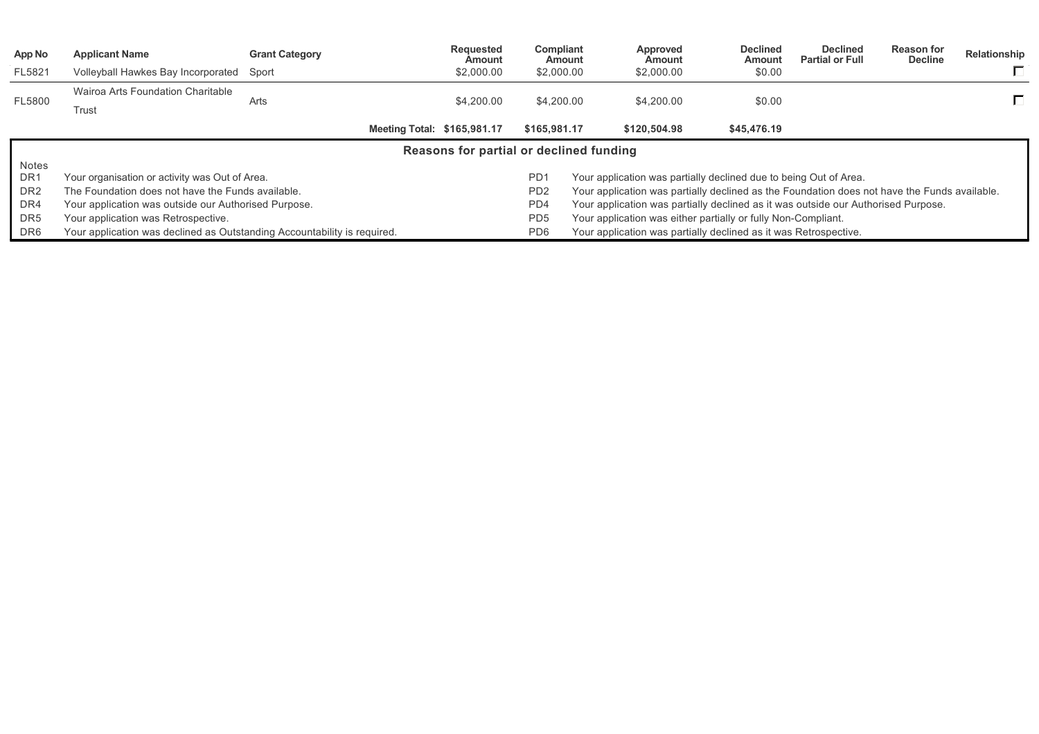| App No          | <b>Applicant Name</b>                                                                                                                                           | <b>Grant Category</b> |  | <b>Requested</b><br>Amount  | Compliant<br>Amount                                                               | Approved<br>Amount                                                                           |                       | <b>Declined</b><br>Amount | <b>Declined</b><br><b>Partial or Full</b> | <b>Reason for</b><br><b>Decline</b> | Relationship |
|-----------------|-----------------------------------------------------------------------------------------------------------------------------------------------------------------|-----------------------|--|-----------------------------|-----------------------------------------------------------------------------------|----------------------------------------------------------------------------------------------|-----------------------|---------------------------|-------------------------------------------|-------------------------------------|--------------|
| FL5821          | Volleyball Hawkes Bay Incorporated Sport                                                                                                                        |                       |  | \$2,000.00                  | \$2,000.00                                                                        | \$2,000.00                                                                                   |                       | \$0.00                    |                                           |                                     |              |
| FL5800          | Wairoa Arts Foundation Charitable                                                                                                                               |                       |  |                             |                                                                                   | \$4,200.00                                                                                   |                       |                           |                                           |                                     |              |
|                 | Trust                                                                                                                                                           | Arts                  |  | \$4,200.00                  | \$4,200.00                                                                        |                                                                                              | \$0.00<br>\$45,476.19 |                           |                                           |                                     |              |
|                 |                                                                                                                                                                 |                       |  | Meeting Total: \$165,981.17 | \$165,981.17                                                                      | \$120,504.98                                                                                 |                       |                           |                                           |                                     |              |
|                 | Reasons for partial or declined funding                                                                                                                         |                       |  |                             |                                                                                   |                                                                                              |                       |                           |                                           |                                     |              |
| Notes           |                                                                                                                                                                 |                       |  |                             |                                                                                   |                                                                                              |                       |                           |                                           |                                     |              |
| DR <sub>1</sub> | Your organisation or activity was Out of Area.                                                                                                                  |                       |  |                             | PD <sub>1</sub>                                                                   | Your application was partially declined due to being Out of Area.                            |                       |                           |                                           |                                     |              |
| DR <sub>2</sub> | The Foundation does not have the Funds available.                                                                                                               |                       |  |                             | P <sub>D</sub> <sub>2</sub>                                                       | Your application was partially declined as the Foundation does not have the Funds available. |                       |                           |                                           |                                     |              |
| DR4             | PD4<br>Your application was outside our Authorised Purpose.                                                                                                     |                       |  |                             | Your application was partially declined as it was outside our Authorised Purpose. |                                                                                              |                       |                           |                                           |                                     |              |
| DR <sub>5</sub> | Your application was Retrospective.                                                                                                                             |                       |  |                             | PD <sub>5</sub>                                                                   | Your application was either partially or fully Non-Compliant.                                |                       |                           |                                           |                                     |              |
| DR6             | Your application was declined as Outstanding Accountability is required.<br>PD <sub>6</sub><br>Your application was partially declined as it was Retrospective. |                       |  |                             |                                                                                   |                                                                                              |                       |                           |                                           |                                     |              |